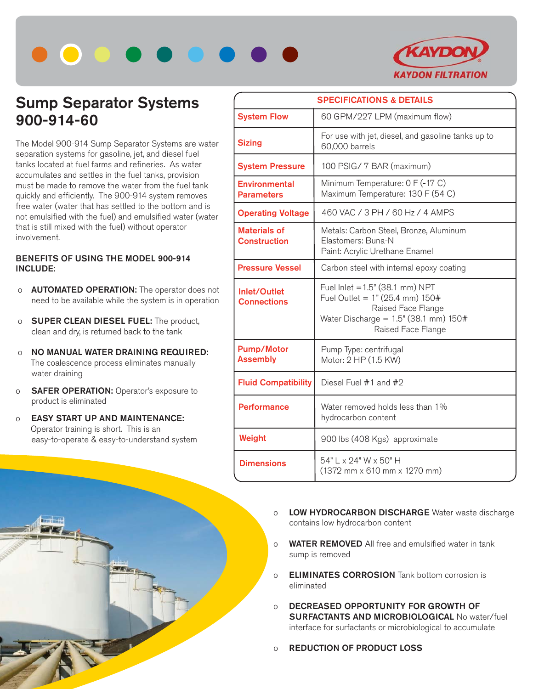



# **Sump Separator Systems 900-914-60**

The Model 900-914 Sump Separator Systems are water separation systems for gasoline, jet, and diesel fuel tanks located at fuel farms and refineries. As water accumulates and settles in the fuel tanks, provision must be made to remove the water from the fuel tank quickly and efficiently. The 900-914 system removes free water (water that has settled to the bottom and is not emulsified with the fuel) and emulsified water (water that is still mixed with the fuel) without operator involvement.

### **BENEFITS OF USING THE MODEL 900-914 INCLUDE:**

- o **AUTOMATED OPERATION:** The operator does not need to be available while the system is in operation
- o **SUPER CLEAN DIESEL FUEL:** The product, clean and dry, is returned back to the tank
- o **NO MANUAL WATER DRAINING REQUIRED:** The coalescence process eliminates manually water draining
- o **SAFER OPERATION:** Operator's exposure to product is eliminated
- o **EASY START UP AND MAINTENANCE:** Operator training is short. This is an easy-to-operate & easy-to-understand system



- o **LOW HYDROCARBON DISCHARGE** Water waste discharge contains low hydrocarbon content
- o **WATER REMOVED** All free and emulsified water in tank sump is removed
- o **ELIMINATES CORROSION** Tank bottom corrosion is eliminated
- o **DECREASED OPPORTUNITY FOR GROWTH OF SURFACTANTS AND MICROBIOLOGICAL** No water/fuel interface for surfactants or microbiological to accumulate
- o **REDUCTION OF PRODUCT LOSS**